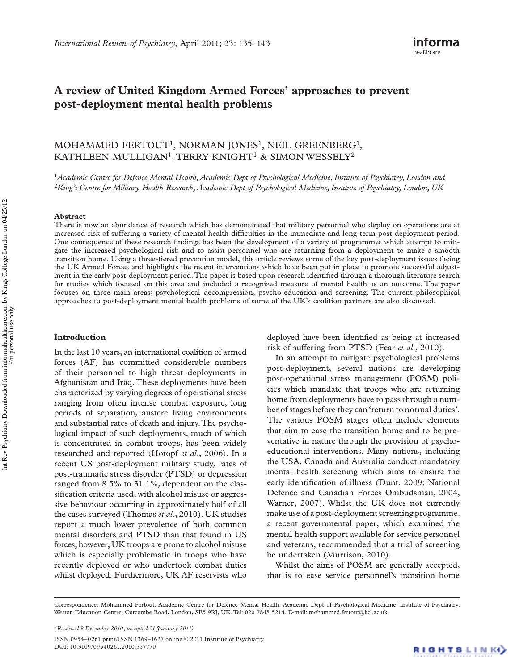# **A review of United Kingdom Armed Forces 'approaches to prevent post-deployment mental health problems**

## MOHAMMED FERTOUT<sup>1</sup>, NORMAN JONES<sup>1</sup>, NEIL GREENBERG<sup>1</sup>, KATHLEEN MULLIGAN<sup>1</sup>, TERRY KNIGHT<sup>1</sup> & SIMON WESSELY<sup>2</sup>

1*Academic Centre for Defence Mental Health, Academic Dept of Psychological Medicine, Institute of Psychiatry, London and* <sup>2</sup>King's Centre for Military Health Research, Academic Dept of Psychological Medicine, Institute of Psychiatry, London, UK

#### **Abstract**

There is now an abundance of research which has demonstrated that military personnel who deploy on operations are at increased risk of suffering a variety of mental health difficulties in the immediate and long-term post-deployment period. One consequence of these research findings has been the development of a variety of programmes which attempt to mitigate the increased psychological risk and to assist personnel who are returning from a deployment to make a smooth transition home. Using a three-tiered prevention model, this article reviews some of the key post-deployment issues facing the UK Armed Forces and highlights the recent interventions which have been put in place to promote successful adjustment in the early post-deployment period. The paper is based upon research identified through a thorough literature search for studies which focused on this area and included a recognized measure of mental health as an outcome. The paper focuses on three main areas; psychological decompression, psycho-education and screening. The current philosophical approaches to post-deployment mental health problems of some of the UK's coalition partners are also discussed.

### **Introduction**

In the last 10 years, an international coalition of armed forces (AF) has committed considerable numbers of their personnel to high threat deployments in Afghanistan and Iraq. These deployments have been characterized by varying degrees of operational stress ranging from often intense combat exposure, long periods of separation, austere living environments and substantial rates of death and injury. The psychological impact of such deployments, much of which is concentrated in combat troops, has been widely researched and reported (Hotopf *et al*., 2006). In a recent US post-deployment military study, rates of post-traumatic stress disorder (PTSD) or depression ranged from 8.5% to 31.1%, dependent on the classification criteria used, with alcohol misuse or aggressive behaviour occurring in approximately half of all the cases surveyed (Thomas *et al*., 2010). UK studies report a much lower prevalence of both common mental disorders and PTSD than that found in US forces; however, UK troops are prone to alcohol misuse which is especially problematic in troops who have recently deployed or who undertook combat duties whilst deployed. Furthermore, UK AF reservists who deployed have been identified as being at increased risk of suffering from PTSD (Fear *et al*., 2010).

In an attempt to mitigate psychological problems post-deployment, several nations are developing post-operational stress management (POSM) policies which mandate that troops who are returning home from deployments have to pass through a number of stages before they can 'return to normal duties'. The various POSM stages often include elements that aim to ease the transition home and to be preventative in nature through the provision of psychoeducational interventions. Many nations, including the USA, Canada and Australia conduct mandatory mental health screening which aims to ensure the early identification of illness (Dunt, 2009; National Defence and Canadian Forces Ombudsman, 2004, Warner, 2007). Whilst the UK does not currently make use of a post-deployment screening programme, a recent governmental paper, which examined the mental health support available for service personnel and veterans, recommended that a trial of screening be undertaken (Murrison, 2010).

Whilst the aims of POSM are generally accepted, that is to ease service personnel's transition home

ISSN 0954–0261 print/ISSN 1369–1627 online © 2011 Institute of Psychiatry DOI: 10.3109/09540261.2010.557770

Correspondence: Mohammed Fertout, Academic Centre for Defence Mental Health, Academic Dept of Psychological Medicine, Institute of Psychiatry, Weston Education Centre, Cutcombe Road, London, SE5 9RJ, UK. Tel: 020 7848 5214. E-mail: mohammed.fertout@kcl.ac.uk

*<sup>(</sup>Received 9 December 2010; accepted 21 January 2011)*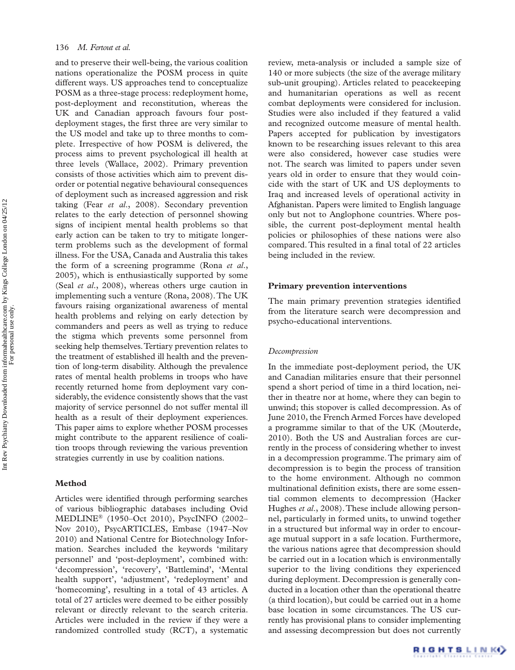and to preserve their well-being, the various coalition nations operationalize the POSM process in quite different ways. US approaches tend to conceptualize POSM as a three-stage process: redeployment home, post-deployment and reconstitution, whereas the UK and Canadian approach favours four postdeployment stages, the first three are very similar to the US model and take up to three months to complete. Irrespective of how POSM is delivered, the process aims to prevent psychological ill health at three levels (Wallace, 2002). Primary prevention consists of those activities which aim to prevent disorder or potential negative behavioural consequences of deployment such as increased aggression and risk taking (Fear *et al*., 2008). Secondary prevention relates to the early detection of personnel showing signs of incipient mental health problems so that early action can be taken to try to mitigate longerterm problems such as the development of formal illness. For the USA, Canada and Australia this takes the form of a screening programme (Rona *et al*., 2005), which is enthusiastically supported by some (Seal *et al*., 2008), whereas others urge caution in implementing such a venture (Rona, 2008). The UK favours raising organizational awareness of mental health problems and relying on early detection by commanders and peers as well as trying to reduce the stigma which prevents some personnel from seeking help themselves. Tertiary prevention relates to the treatment of established ill health and the prevention of long-term disability. Although the prevalence rates of mental health problems in troops who have recently returned home from deployment vary considerably, the evidence consistently shows that the vast majority of service personnel do not suffer mental ill health as a result of their deployment experiences. This paper aims to explore whether POSM processes might contribute to the apparent resilience of coalition troops through reviewing the various prevention strategies currently in use by coalition nations.

#### **Method**

Articles were identified through performing searches of various bibliographic databases including Ovid MEDLINE<sup>®</sup> (1950–Oct 2010), PsycINFO (2002– Nov 2010), PsycARTICLES, Embase (1947–Nov 2010) and National Centre for Biotechnology Information. Searches included the keywords 'military personnel' and 'post-deployment', combined with: 'decompression', 'recovery', 'Battlemind', 'Mental health support', 'adjustment', 'redeployment' and 'homecoming', resulting in a total of 43 articles. A total of 27 articles were deemed to be either possibly relevant or directly relevant to the search criteria. Articles were included in the review if they were a randomized controlled study (RCT), a systematic review, meta-analysis or included a sample size of 140 or more subjects (the size of the average military sub-unit grouping). Articles related to peacekeeping and humanitarian operations as well as recent combat deployments were considered for inclusion. Studies were also included if they featured a valid and recognized outcome measure of mental health. Papers accepted for publication by investigators known to be researching issues relevant to this area were also considered, however case studies were not. The search was limited to papers under seven years old in order to ensure that they would coincide with the start of UK and US deployments to Iraq and increased levels of operational activity in Afghanistan. Papers were limited to English language only but not to Anglophone countries. Where possible, the current post-deployment mental health policies or philosophies of these nations were also compared. This resulted in a final total of 22 articles being included in the review.

#### **Primary prevention interventions**

The main primary prevention strategies identified from the literature search were decompression and psycho-educational interventions.

#### *Decompression*

In the immediate post-deployment period, the UK and Canadian militaries ensure that their personnel spend a short period of time in a third location, neither in theatre nor at home, where they can begin to unwind; this stopover is called decompression. As of June 2010, the French Armed Forces have developed a programme similar to that of the UK (Mouterde, 2010). Both the US and Australian forces are currently in the process of considering whether to invest in a decompression programme. The primary aim of decompression is to begin the process of transition to the home environment. Although no common multinational definition exists, there are some essential common elements to decompression (Hacker Hughes *et al*., 2008). These include allowing personnel, particularly in formed units, to unwind together in a structured but informal way in order to encourage mutual support in a safe location. Furthermore, the various nations agree that decompression should be carried out in a location which is environmentally superior to the living conditions they experienced during deployment. Decompression is generally conducted in a location other than the operational theatre (a third location), but could be carried out in a home base location in some circumstances. The US currently has provisional plans to consider implementing and assessing decompression but does not currently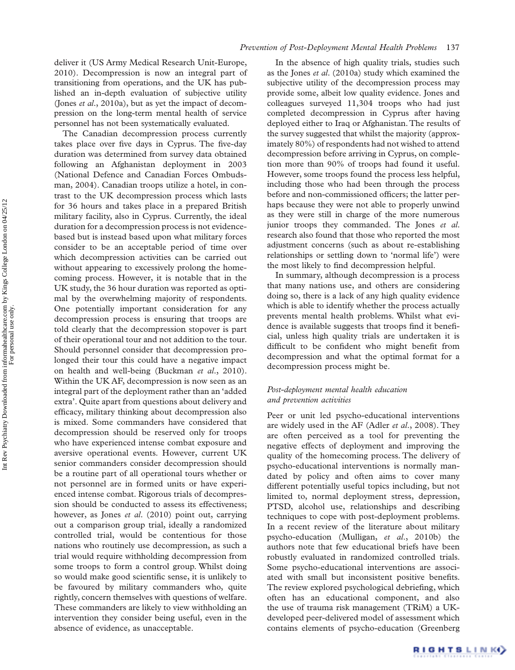deliver it (US Army Medical Research Unit-Europe, 2010). Decompression is now an integral part of transitioning from operations, and the UK has published an in-depth evaluation of subjective utility (Jones *et al*., 2010a), but as yet the impact of decompression on the long-term mental health of service personnel has not been systematically evaluated.

The Canadian decompression process currently takes place over five days in Cyprus. The five-day duration was determined from survey data obtained following an Afghanistan deployment in 2003 (National Defence and Canadian Forces Ombudsman, 2004). Canadian troops utilize a hotel, in contrast to the UK decompression process which lasts for 36 hours and takes place in a prepared British military facility, also in Cyprus. Currently, the ideal duration for a decompression process is not evidencebased but is instead based upon what military forces consider to be an acceptable period of time over which decompression activities can be carried out without appearing to excessively prolong the homecoming process. However, it is notable that in the UK study, the 36 hour duration was reported as optimal by the overwhelming majority of respondents. One potentially important consideration for any decompression process is ensuring that troops are told clearly that the decompression stopover is part of their operational tour and not addition to the tour. Should personnel consider that decompression prolonged their tour this could have a negative impact on health and well-being (Buckman *et al*., 2010). Within the UK AF, decompression is now seen as an integral part of the deployment rather than an 'added extra'. Quite apart from questions about delivery and efficacy, military thinking about decompression also is mixed. Some commanders have considered that decompression should be reserved only for troops who have experienced intense combat exposure and aversive operational events. However, current UK senior commanders consider decompression should be a routine part of all operational tours whether or not personnel are in formed units or have experienced intense combat. Rigorous trials of decompression should be conducted to assess its effectiveness; however, as Jones *et al*. (2010) point out, carrying out a comparison group trial, ideally a randomized controlled trial, would be contentious for those nations who routinely use decompression, as such a trial would require withholding decompression from some troops to form a control group. Whilst doing so would make good scientific sense, it is unlikely to be favoured by military commanders who, quite rightly, concern themselves with questions of welfare. These commanders are likely to view withholding an intervention they consider being useful, even in the absence of evidence, as unacceptable.

In the absence of high quality trials, studies such as the Jones *et al*. (2010a) study which examined the subjective utility of the decompression process may provide some, albeit low quality evidence. Jones and colleagues surveyed 11,304 troops who had just completed decompression in Cyprus after having deployed either to Iraq or Afghanistan. The results of the survey suggested that whilst the majority (approximately 80%) of respondents had not wished to attend decompression before arriving in Cyprus, on completion more than 90% of troops had found it useful. However, some troops found the process less helpful, including those who had been through the process before and non-commissioned officers; the latter perhaps because they were not able to properly unwind as they were still in charge of the more numerous junior troops they commanded. The Jones *et al*. research also found that those who reported the most adjustment concerns (such as about re-establishing relationships or settling down to 'normal life') were the most likely to find decompression helpful.

In summary, although decompression is a process that many nations use, and others are considering doing so, there is a lack of any high quality evidence which is able to identify whether the process actually prevents mental health problems. Whilst what evidence is available suggests that troops find it beneficial, unless high quality trials are undertaken it is difficult to be confident who might benefit from decompression and what the optimal format for a decompression process might be.

## *Post-deployment mental health education and prevention activities*

Peer or unit led psycho-educational interventions are widely used in the AF (Adler *et al*., 2008). They are often perceived as a tool for preventing the negative effects of deployment and improving the quality of the homecoming process. The delivery of psycho-educational interventions is normally mandated by policy and often aims to cover many different potentially useful topics including, but not limited to, normal deployment stress, depression, PTSD, alcohol use, relationships and describing techniques to cope with post-deployment problems. In a recent review of the literature about military psycho-education (Mulligan, *et al*., 2010b) the authors note that few educational briefs have been robustly evaluated in randomized controlled trials. Some psycho-educational interventions are associated with small but inconsistent positive benefits. The review explored psychological debriefing, which often has an educational component, and also the use of trauma risk management (TRiM) a UKdeveloped peer-delivered model of assessment which contains elements of psycho-education (Greenberg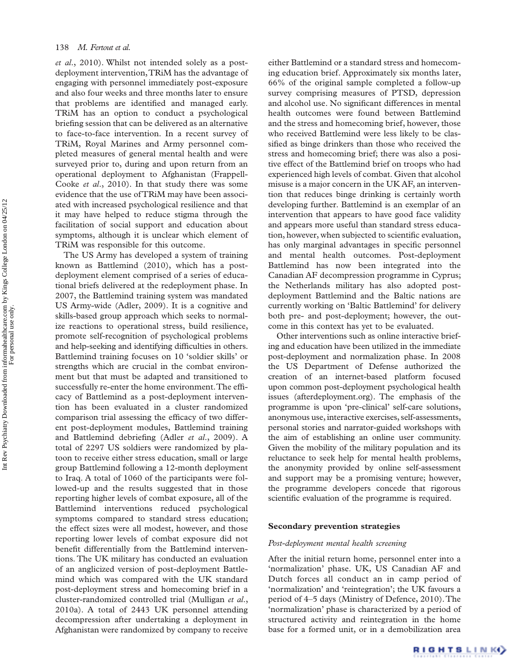*et al*., 2010). Whilst not intended solely as a postdeployment intervention, TRiM has the advantage of engaging with personnel immediately post-exposure and also four weeks and three months later to ensure that problems are identified and managed early. TRiM has an option to conduct a psychological briefing session that can be delivered as an alternative to face-to-face intervention. In a recent survey of TRiM, Royal Marines and Army personnel completed measures of general mental health and were surveyed prior to, during and upon return from an operational deployment to Afghanistan (Frappell-Cooke *et al*., 2010). In that study there was some evidence that the use of TRiM may have been associated with increased psychological resilience and that it may have helped to reduce stigma through the facilitation of social support and education about symptoms, although it is unclear which element of TRiM was responsible for this outcome.

The US Army has developed a system of training known as Battlemind (2010), which has a postdeployment element comprised of a series of educational briefs delivered at the redeployment phase. In 2007, the Battlemind training system was mandated US Army-wide (Adler, 2009). It is a cognitive and skills-based group approach which seeks to normalize reactions to operational stress, build resilience, promote self-recognition of psychological problems and help-seeking and identifying difficulties in others. Battlemind training focuses on 10 'soldier skills' or strengths which are crucial in the combat environment but that must be adapted and transitioned to successfully re-enter the home environment. The efficacy of Battlemind as a post-deployment intervention has been evaluated in a cluster randomized comparison trial assessing the efficacy of two different post-deployment modules, Battlemind training and Battlemind debriefing (Adler *et al.*, 2009). A total of 2297 US soldiers were randomized by platoon to receive either stress education, small or large group Battlemind following a 12-month deployment to Iraq. A total of 1060 of the participants were followed-up and the results suggested that in those reporting higher levels of combat exposure, all of the Battlemind interventions reduced psychological symptoms compared to standard stress education; the effect sizes were all modest, however, and those reporting lower levels of combat exposure did not benefit differentially from the Battlemind interventions. The UK military has conducted an evaluation of an anglicized version of post-deployment Battlemind which was compared with the UK standard post-deployment stress and homecoming brief in a cluster-randomized controlled trial (Mulligan *et al*., 2010a). A total of 2443 UK personnel attending decompression after undertaking a deployment in Afghanistan were randomized by company to receive either Battlemind or a standard stress and homecoming education brief. Approximately six months later, 66% of the original sample completed a follow-up survey comprising measures of PTSD, depression and alcohol use. No significant differences in mental health outcomes were found between Battlemind and the stress and homecoming brief, however, those who received Battlemind were less likely to be classified as binge drinkers than those who received the stress and homecoming brief; there was also a positive effect of the Battlemind brief on troops who had experienced high levels of combat. Given that alcohol misuse is a major concern in the UK AF, an intervention that reduces binge drinking is certainly worth developing further. Battlemind is an exemplar of an intervention that appears to have good face validity and appears more useful than standard stress education, however, when subjected to scientific evaluation, has only marginal advantages in specific personnel and mental health outcomes. Post-deployment Battlemind has now been integrated into the Canadian AF decompression programme in Cyprus; the Netherlands military has also adopted postdeployment Battlemind and the Baltic nations are currently working on 'Baltic Battlemind' for delivery both pre- and post-deployment; however, the outcome in this context has yet to be evaluated.

Other interventions such as online interactive briefing and education have been utilized in the immediate post-deployment and normalization phase. In 2008 the US Department of Defense authorized the creation of an internet-based platform focused upon common post-deployment psychological health issues (afterdeployment.org). The emphasis of the programme is upon 'pre-clinical' self-care solutions, anonymous use, interactive exercises, self-assessments, personal stories and narrator-guided workshops with the aim of establishing an online user community. Given the mobility of the military population and its reluctance to seek help for mental health problems, the anonymity provided by online self-assessment and support may be a promising venture; however, the programme developers concede that rigorous scientific evaluation of the programme is required.

#### **Secondary prevention strategies**

#### *Post-deployment mental health screening*

After the initial return home, personnel enter into a 'normalization' phase. UK, US Canadian AF and Dutch forces all conduct an in camp period of 'normalization' and 'reintegration'; the UK favours a period of 4–5 days (Ministry of Defence, 2010). The 'normalization' phase is characterized by a period of structured activity and reintegration in the home base for a formed unit, or in a demobilization area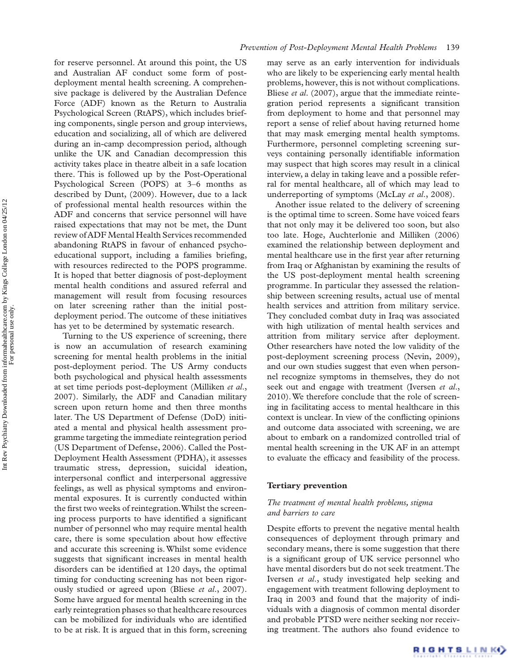for reserve personnel. At around this point, the US and Australian AF conduct some form of postdeployment mental health screening. A comprehensive package is delivered by the Australian Defence Force (ADF) known as the Return to Australia Psychological Screen (RtAPS), which includes briefing components, single person and group interviews, education and socializing, all of which are delivered during an in-camp decompression period, although unlike the UK and Canadian decompression this activity takes place in theatre albeit in a safe location there. This is followed up by the Post-Operational Psychological Screen (POPS) at 3-6 months as described by Dunt, (2009). However, due to a lack of professional mental health resources within the ADF and concerns that service personnel will have raised expectations that may not be met, the Dunt review of ADF Mental Health Services recommended abandoning RtAPS in favour of enhanced psychoeducational support, including a families briefing, with resources redirected to the POPS programme. It is hoped that better diagnosis of post-deployment mental health conditions and assured referral and management will result from focusing resources on later screening rather than the initial postdeployment period. The outcome of these initiatives has yet to be determined by systematic research.

Turning to the US experience of screening, there is now an accumulation of research examining screening for mental health problems in the initial post-deployment period. The US Army conducts both psychological and physical health assessments at set time periods post-deployment (Milliken *et al*., 2007). Similarly, the ADF and Canadian military screen upon return home and then three months later. The US Department of Defense (DoD) initiated a mental and physical health assessment programme targeting the immediate reintegration period (US Department of Defense, 2006). Called the Post-Deployment Health Assessment (PDHA), it assesses traumatic stress, depression, suicidal ideation, interpersonal conflict and interpersonal aggressive feelings, as well as physical symptoms and environmental exposures. It is currently conducted within the first two weeks of reintegration. Whilst the screening process purports to have identified a significant number of personnel who may require mental health care, there is some speculation about how effective and accurate this screening is. Whilst some evidence suggests that significant increases in mental health disorders can be identified at 120 days, the optimal timing for conducting screening has not been rigorously studied or agreed upon (Bliese *et al*., 2007). Some have argued for mental health screening in the early reintegration phases so that healthcare resources can be mobilized for individuals who are identified to be at risk. It is argued that in this form, screening

may serve as an early intervention for individuals who are likely to be experiencing early mental health problems, however, this is not without complications. Bliese *et al*. (2007), argue that the immediate reintegration period represents a significant transition from deployment to home and that personnel may report a sense of relief about having returned home that may mask emerging mental health symptoms. Furthermore, personnel completing screening surveys containing personally identifiable information may suspect that high scores may result in a clinical interview, a delay in taking leave and a possible referral for mental healthcare, all of which may lead to underreporting of symptoms (McLay *et al*., 2008).

Another issue related to the delivery of screening is the optimal time to screen. Some have voiced fears that not only may it be delivered too soon, but also too late. Hoge, Auchterlonie and Milliken (2006) examined the relationship between deployment and mental healthcare use in the first year after returning from Iraq or Afghanistan by examining the results of the US post-deployment mental health screening programme. In particular they assessed the relationship between screening results, actual use of mental health services and attrition from military service. They concluded combat duty in Iraq was associated with high utilization of mental health services and attrition from military service after deployment. Other researchers have noted the low validity of the post-deployment screening process (Nevin, 2009), and our own studies suggest that even when personnel recognize symptoms in themselves, they do not seek out and engage with treatment (Iversen *et al*., 2010). We therefore conclude that the role of screening in facilitating access to mental healthcare in this context is unclear. In view of the conflicting opinions and outcome data associated with screening, we are about to embark on a randomized controlled trial of mental health screening in the UK AF in an attempt to evaluate the efficacy and feasibility of the process.

#### **Tertiary prevention**

## *The treatment of mental health problems, stigma and barriers to care*

Despite efforts to prevent the negative mental health consequences of deployment through primary and secondary means, there is some suggestion that there is a significant group of UK service personnel who have mental disorders but do not seek treatment. The Iversen *et al*., study investigated help seeking and engagement with treatment following deployment to Iraq in 2003 and found that the majority of individuals with a diagnosis of common mental disorder and probable PTSD were neither seeking nor receiving treatment. The authors also found evidence to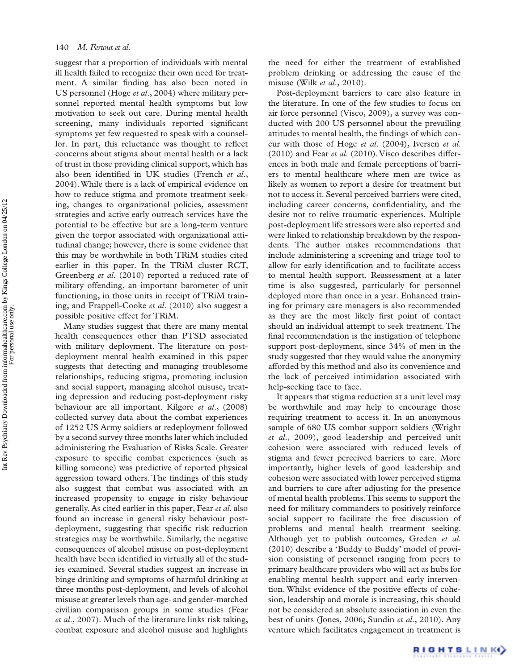suggest that a proportion of individuals with mental ill health failed to recognize their own need for treatment. A similar finding has also been noted in US personnel (Hoge *et al*., 2004) where military personnel reported mental health symptoms but low motivation to seek out care. During mental health screening, many individuals reported significant symptoms yet few requested to speak with a counsellor. In part, this reluctance was thought to reflect concerns about stigma about mental health or a lack of trust in those providing clinical support, which has also been identified in UK studies (French et al., 2004). While there is a lack of empirical evidence on how to reduce stigma and promote treatment seeking, changes to organizational policies, assessment strategies and active early outreach services have the potential to be effective but are a long-term venture given the torpor associated with organizational attitudinal change; however, there is some evidence that this may be worthwhile in both TRiM studies cited earlier in this paper. In the TRiM cluster RCT, Greenberg *et al*. (2010) reported a reduced rate of military offending, an important barometer of unit functioning, in those units in receipt of TRiM training, and Frappell-Cooke *et al*. (2010) also suggest a possible positive effect for TRiM.

Many studies suggest that there are many mental health consequences other than PTSD associated with military deployment. The literature on postdeployment mental health examined in this paper suggests that detecting and managing troublesome relationships, reducing stigma, promoting inclusion and social support, managing alcohol misuse, treating depression and reducing post-deployment risky behaviour are all important. Kilgore *et al*., (2008) collected survey data about the combat experiences of 1252 US Army soldiers at redeployment followed by a second survey three months later which included administering the Evaluation of Risks Scale. Greater exposure to specific combat experiences (such as killing someone) was predictive of reported physical aggression toward others. The findings of this study also suggest that combat was associated with an increased propensity to engage in risky behaviour generally. As cited earlier in this paper, Fear *et al*. also found an increase in general risky behaviour postdeployment, suggesting that specific risk reduction strategies may be worthwhile. Similarly, the negative consequences of alcohol misuse on post-deployment health have been identified in virtually all of the studies examined. Several studies suggest an increase in binge drinking and symptoms of harmful drinking at three months post-deployment, and levels of alcohol misuse at greater levels than age- and gender-matched civilian comparison groups in some studies (Fear *et al*., 2007). Much of the literature links risk taking, combat exposure and alcohol misuse and highlights

the need for either the treatment of established problem drinking or addressing the cause of the misuse (Wilk *et al*., 2010).

Post-deployment barriers to care also feature in the literature. In one of the few studies to focus on air force personnel (Visco, 2009), a survey was conducted with 200 US personnel about the prevailing attitudes to mental health, the findings of which concur with those of Hoge *et al*. (2004), Iversen *et al*. (2010) and Fear *et al*. (2010). Visco describes differences in both male and female perceptions of barriers to mental healthcare where men are twice as likely as women to report a desire for treatment but not to access it. Several perceived barriers were cited, including career concerns, confidentiality, and the desire not to relive traumatic experiences. Multiple post-deployment life stressors were also reported and were linked to relationship breakdown by the respondents. The author makes recommendations that include administering a screening and triage tool to allow for early identification and to facilitate access to mental health support. Reassessment at a later time is also suggested, particularly for personnel deployed more than once in a year. Enhanced training for primary care managers is also recommended as they are the most likely first point of contact should an individual attempt to seek treatment. The final recommendation is the instigation of telephone support post-deployment, since 34% of men in the study suggested that they would value the anonymity afforded by this method and also its convenience and the lack of perceived intimidation associated with help-seeking face to face.

It appears that stigma reduction at a unit level may be worthwhile and may help to encourage those requiring treatment to access it. In an anonymous sample of 680 US combat support soldiers (Wright *et al*., 2009), good leadership and perceived unit cohesion were associated with reduced levels of stigma and fewer perceived barriers to care. More importantly, higher levels of good leadership and cohesion were associated with lower perceived stigma and barriers to care after adjusting for the presence of mental health problems. This seems to support the need for military commanders to positively reinforce social support to facilitate the free discussion of problems and mental health treatment seeking. Although yet to publish outcomes, Greden *et al*. (2010) describe a 'Buddy to Buddy' model of provision consisting of personnel ranging from peers to primary healthcare providers who will act as hubs for enabling mental health support and early intervention. Whilst evidence of the positive effects of cohesion, leadership and morale is increasing, this should not be considered an absolute association in even the best of units (Jones, 2006; Sundin *et al*., 2010). Any venture which facilitates engagement in treatment is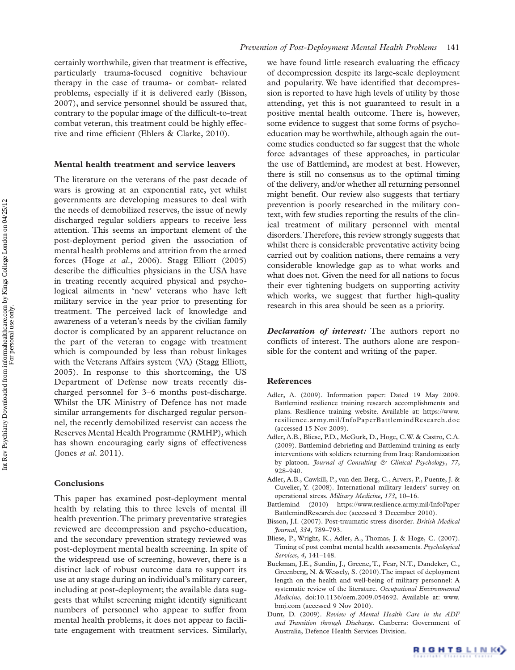certainly worthwhile, given that treatment is effective, particularly trauma-focused cognitive behaviour therapy in the case of trauma- or combat- related problems, especially if it is delivered early (Bisson, 2007), and service personnel should be assured that, contrary to the popular image of the difficult-to-treat combat veteran, this treatment could be highly effective and time efficient (Ehlers & Clarke,  $2010$ ).

#### **Mental health treatment and service leavers**

The literature on the veterans of the past decade of wars is growing at an exponential rate, yet whilst governments are developing measures to deal with the needs of demobilized reserves, the issue of newly discharged regular soldiers appears to receive less attention. This seems an important element of the post-deployment period given the association of mental health problems and attrition from the armed forces (Hoge *et al*., 2006). Stagg Elliott (2005) describe the difficulties physicians in the USA have in treating recently acquired physical and psychological ailments in 'new' veterans who have left military service in the year prior to presenting for treatment. The perceived lack of knowledge and awareness of a veteran's needs by the civilian family doctor is complicated by an apparent reluctance on the part of the veteran to engage with treatment which is compounded by less than robust linkages with the Veterans Affairs system (VA) (Stagg Elliott, 2005). In response to this shortcoming, the US Department of Defense now treats recently discharged personnel for 3–6 months post-discharge. Whilst the UK Ministry of Defence has not made similar arrangements for discharged regular personnel, the recently demobilized reservist can access the Reserves Mental Health Programme (RMHP), which has shown encouraging early signs of effectiveness (Jones *et al*. 2011).

## **Conclusions**

This paper has examined post-deployment mental health by relating this to three levels of mental ill health prevention. The primary preventative strategies reviewed are decompression and psycho-education, and the secondary prevention strategy reviewed was post-deployment mental health screening. In spite of the widespread use of screening, however, there is a distinct lack of robust outcome data to support its use at any stage during an individual's military career, including at post-deployment; the available data suggests that whilst screening might identify significant numbers of personnel who appear to suffer from mental health problems, it does not appear to facilitate engagement with treatment services. Similarly,

we have found little research evaluating the efficacy of decompression despite its large-scale deployment and popularity. We have identified that decompression is reported to have high levels of utility by those attending, yet this is not guaranteed to result in a positive mental health outcome. There is, however, some evidence to suggest that some forms of psychoeducation may be worthwhile, although again the outcome studies conducted so far suggest that the whole force advantages of these approaches, in particular the use of Battlemind, are modest at best. However, there is still no consensus as to the optimal timing of the delivery, and/or whether all returning personnel might benefit. Our review also suggests that tertiary prevention is poorly researched in the military context, with few studies reporting the results of the clinical treatment of military personnel with mental disorders. Therefore, this review strongly suggests that whilst there is considerable preventative activity being carried out by coalition nations, there remains a very considerable knowledge gap as to what works and what does not. Given the need for all nations to focus their ever tightening budgets on supporting activity which works, we suggest that further high-quality research in this area should be seen as a priority.

*Declaration of interest:* The authors report no conflicts of interest. The authors alone are responsible for the content and writing of the paper.

#### **References**

- Adler, A. (2009). Information paper: Dated 19 May 2009. Battlemind resilience training research accomplishments and plans. Resilience training website. Available at: https://www. resilience.army.mil/InfoPaperBattlemindResearch.doc (accessed 15 Nov 2009).
- Adler, A.B., Bliese, P.D., McGurk, D., Hoge, C.W. & Castro, C.A. (2009). Battlemind debriefing and Battlemind training as early interventions with soldiers returning from Iraq: Randomization by platoon. *Journal of Consulting & Clinical Psychology*, 77, 928 - 940.
- Adler, A.B., Cawkill, P., van den Berg, C., Arvers, P., Puente, J. & Cuvelier, Y. (2008). International military leaders' survey on operational stress. *Military Medicine*, 173, 10-16.
- Battlemind (2010) https://www.resilience.army.mil/InfoPaper BattlemindResearch.doc (accessed 3 December 2010).
- Bisson, J.I. (2007). Post-traumatic stress disorder. *British Medical Journal*, *334*, 789 – 793.
- Bliese, P., Wright, K., Adler, A., Thomas, J. & Hoge, C. (2007). Timing of post combat mental health assessments. *Psychological Services*, *4*, 141 – 148.
- Buckman, J.E., Sundin, J., Greene, T., Fear, N.T., Dandeker, C., Greenberg, N. &Wessely, S. (2010).The impact of deployment length on the health and well-being of military personnel: A systematic review of the literature. *Occupational Environmental Medicine*, doi:10.1136/oem.2009.054692. Available at: www. bmj.com (accessed 9 Nov 2010).
- Dunt, D. (2009). *Review of Mental Health Care in the ADF and Transition through Discharge*. Canberra: Government of Australia, Defence Health Services Division.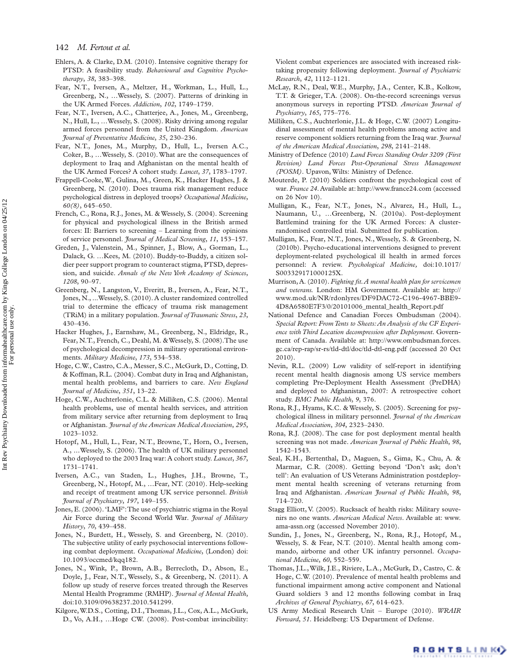- 142 *M. Fertout et al.*
- Ehlers, A. & Clarke, D.M. (2010). Intensive cognitive therapy for PTSD: A feasibility study. *Behavioural and Cognitive Psychotherapy*, *38*, 383 – 398.
- Fear, N.T., Iversen, A., Meltzer, H., Workman, L., Hull, L., Greenberg, N., … Wessely, S. (2007). Patterns of drinking in the UK Armed Forces. *Addiction*, 102, 1749-1759.
- Fear, N.T., Iversen, A.C., Chatterjee, A., Jones, M., Greenberg, N., Hull, L., … Wessely, S. (2008). Risky driving among regular armed forces personnel from the United Kingdom. *American Journal of Preventative Medicine*, *35*, 230 – 236.
- Fear, N.T., Jones, M., Murphy, D., Hull, L., Iversen A.C., Coker, B., … Wessely, S. (2010). What are the consequences of deployment to Iraq and Afghanistan on the mental health of the UK Armed Forces? A cohort study. *Lancet*, 37, 1783-1797.
- Frappell-Cooke, W., Gulina, M., Green, K., Hacker Hughes, J. & Greenberg, N. (2010). Does trauma risk management reduce psychological distress in deployed troops? *Occupational Medicine*, *60(8)*, 645–650.
- French, C., Rona, R.J., Jones, M. & Wessely, S. (2004). Screening for physical and psychological illness in the British armed forces: II: Barriers to screening –Learning from the opinions of service personnel. *Journal of Medical Screening*, 11, 153-157.
- Greden, J., Valenstein, M., Spinner, J., Blow, A., Gorman, L., Dalack, G. … Kees, M. (2010). Buddy-to-Buddy, a citizen soldier peer support program to counteract stigma, PTSD, depression, and suicide. *Annals of the New York Academy of Sciences*, *1208*, 90–97.
- Greenberg, N., Langston, V., Everitt, B., Iversen, A., Fear, N.T., Jones, N., ...Wessely, S. (2010). A cluster randomized controlled trial to determine the efficacy of trauma risk management (TRiM) in a military population. *Journal of Traumatic Stress*, *23*,  $430 - 436$ .
- Hacker Hughes, J., Earnshaw, M., Greenberg, N., Eldridge, R., Fear, N.T., French, C., Deahl, M. & Wessely, S. (2008). The use of psychological decompression in military operational environments. *Military Medicine*, 173, 534-538.
- Hoge, C.W., Castro, C.A., Messer, S.C., McGurk, D., Cotting, D. &Koffman, R.L. (2004). Combat duty in Iraq and Afghanistan, mental health problems, and barriers to care. *New England Journal of Medicine*, *351*, 13 – 22.
- Hoge, C.W., Auchterlonie, C.L. & Milliken, C.S. (2006). Mental health problems, use of mental health services, and attrition from military service after returning from deployment to Iraq or Afghanistan. *Journal of the American Medical Association*, *295*, 1023-1032.
- Hotopf, M., Hull, L., Fear, N.T., Browne, T., Horn, O., Iversen, A., *...*Wessely, S. (2006). The health of UK military personnel who deployed to the 2003 Iraq war: A cohort study. *Lancet*, *367*, 1731 – 1741.
- Iversen, A.C., van Staden, L., Hughes, J.H., Browne, T., Greenberg, N., Hotopf, M., *…* Fear, NT. (2010). Help-seeking and receipt of treatment among UK service personnel. *British Journal of Psychiatry*, *197*, 149 – 155.
- Jones, E. (2006). 'LMF': The use of psychiatric stigma in the Royal Air Force during the Second World War. *Journal of Military History*, 70, 439-458.
- Jones, N., Burdett, H., Wessely, S. and Greenberg, N. (2010). The subjective utility of early psychosocial interventions following combat deployment. *Occupational Medicine*, (London) doi: 10.1093/occmed/kqq182.
- Jones, N., Wink, P., Brown, A.B., Berrecloth, D., Abson, E., Doyle, J., Fear, N.T., Wessely, S., & Greenberg, N. (2011). A follow up study of reserve forces treated through the Reserves Mental Health Programme (RMHP). *Journal of Mental Health*, doi:10.3109/09638237.2010.541299.
- Kilgore, W.D.S., Cotting, D.I., Thomas, J.L., Cox, A.L., McGurk, D., Vo, A.H., … Hoge CW. (2008). Post-combat invincibility:

Violent combat experiences are associated with increased risktaking propensity following deployment. *Journal of Psychiatric Research*, *42*, 1112 – 1121.

- McLay, R.N., Deal, W.E., Murphy, J.A., Center, K.B., Kolkow, T.T. & Grieger, T.A. (2008). On-the-record screenings versus anonymous surveys in reporting PTSD. *American Journal of Psychiatry*, *165*, 775 – 776.
- Milliken, C.S., Auchterlonie, J.L. & Hoge, C.W. (2007) Longitudinal assessment of mental health problems among active and reserve component soldiers returning from the Iraq war. *Journal of the American Medical Association*, *298*, 2141 – 2148.
- Ministry of Defence (2010) *Land Forces Standing Order 3209 (First Revision) Land Forces Post-Operational Stress Management (POSM)*. Upavon, Wilts: Ministry of Defence.
- Mouterde, P. (2010) Soldiers confront the psychological cost of war. *France 24*. Available at: http://www.france24.com (accessed on 26 Nov 10).
- Mulligan, K., Fear, N.T., Jones, N., Alvarez, H., Hull, L., Naumann, U., … Greenberg, N. (2010a). Post-deployment Battlemind training for the UK Armed Forces: A clusterrandomised controlled trial. Submitted for publication.
- Mulligan, K., Fear, N.T., Jones, N., Wessely, S. & Greenberg, N. (2010b). Psycho-educational interventions designed to prevent deployment-related psychological ill health in armed forces personnel: A review. *Psychological Medicine,* doi:10.1017/ S003329171000125X.
- Murrison, A. (2010). *Fighting fit. A mental health plan for servicemen and veterans.* London: HM Government. Available at: http:// www.mod.uk/NR/rdonlyres/DF9DAC72-C196-4967-BBE9- 4D8A6580E7F3/0/20101006\_mental\_health\_Report.pdf
- National Defence and Canadian Forces Ombudsman (2004). *Special Report: From Tents to Sheets: An Analysis of the CF Experience with Third Location decompression after Deployment*. Government of Canada. Available at: http://www.ombudsman.forces. gc.ca/rep-rap/sr-rs/tld-dtl/doc/tld-dtl-eng.pdf (accessed 20 Oct 2010).
- Nevin, R.L. (2009) Low validity of self-report in identifying recent mental health diagnosis among US service members completing Pre-Deployment Health Assessment (PreDHA) and deployed to Afghanistan, 2007: A retrospective cohort study. *BMC Public Health*, *9*, 376.
- Rona, R.J., Hyams, K.C. & Wessely, S. (2005). Screening for psychological illness in military personnel. *Journal of the American Medical Association*, *304*, 2323 – 2430.
- Rona, R.J. (2008). The case for post deployment mental health screening was not made. *American Journal of Public Health*, *98*, 1542 – 1543.
- Seal, K.H., Bertenthal, D., Maguen, S., Gima, K., Chu, A. & Marmar, C.R. (2008). Getting beyond 'Don't ask; don't tell': An evaluation of US Veterans Administration postdeployment mental health screening of veterans returning from Iraq and Afghanistan. *American Journal of Public Health*, *98*, 714 – 720.
- Stagg Elliott, V. (2005). Rucksack of health risks: Military souvenirs no one wants. *American Medical News*. Available at: www. ama-assn.org (accessed November 2010).
- Sundin, J., Jones, N., Greenberg, N., Rona, R.J., Hotopf, M., Wessely, S. & Fear, N.T. (2010). Mental health among commando, airborne and other UK infantry personnel. *Occupational Medicine*, *60*, 552 – 559.
- Thomas, J.L., Wilk, J.E., Riviere, L.A., McGurk, D., Castro, C. & Hoge, C.W. (2010). Prevalence of mental health problems and functional impairment among active component and National Guard soldiers 3 and 12 months following combat in Iraq Archives of General Psychiatry, 67, 614-623.
- US Army Medical Research Unit –Europe (2010). *WRAIR Forward*, *51*. Heidelberg: US Department of Defense.

For personal use only.